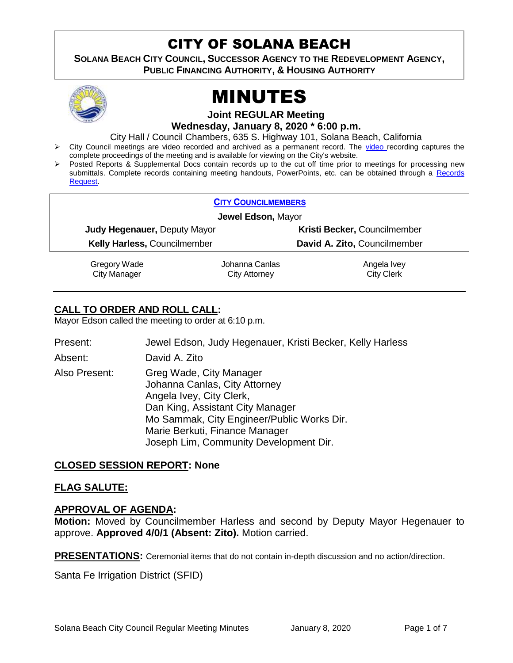## CITY OF SOLANA BEACH

**SOLANA BEACH CITY COUNCIL, SUCCESSOR AGENCY TO THE REDEVELOPMENT AGENCY, PUBLIC FINANCING AUTHORITY, & HOUSING AUTHORITY** 



# MINUTES

**Joint REGULAR Meeting**

**Wednesday, January 8, 2020 \* 6:00 p.m.** 

City Hall / Council Chambers, 635 S. Highway 101, Solana Beach, California

- > City Council meetings are [video r](https://solanabeach.12milesout.com/#page=1)ecorded and archived as a permanent record. The video recording captures the complete proceedings of the meeting and is available for viewing on the City's website.
- Posted Reports & Supplemental Docs contain records up to the cut off time prior to meetings for processing new submittals. Complete records containing meeting handouts, PowerPoints, etc. can be obtained through a Records [Request.](http://www.ci.solana-beach.ca.us/index.asp?SEC=F5D45D10-70CE-4291-A27C-7BD633FC6742&Type=B_BASIC)

|                                     | <b>CITY COUNCILMEMBERS</b> |                              |  |
|-------------------------------------|----------------------------|------------------------------|--|
| Jewel Edson, Mayor                  |                            |                              |  |
| <b>Judy Hegenauer, Deputy Mayor</b> |                            | Kristi Becker, Councilmember |  |
| <b>Kelly Harless, Councilmember</b> |                            | David A. Zito, Councilmember |  |
| Gregory Wade                        | Johanna Canlas             | Angela Ivey                  |  |
| <b>City Manager</b>                 | City Attorney              | <b>City Clerk</b>            |  |

#### **CALL TO ORDER AND ROLL CALL:**

Mayor Edson called the meeting to order at 6:10 p.m.

Present: Jewel Edson, Judy Hegenauer, Kristi Becker, Kelly Harless Absent: David A. Zito Also Present: Greg Wade, City Manager Johanna Canlas, City Attorney Angela Ivey, City Clerk, Dan King, Assistant City Manager Mo Sammak, City Engineer/Public Works Dir. Marie Berkuti, Finance Manager Joseph Lim, Community Development Dir.

#### **CLOSED SESSION REPORT: None**

#### **FLAG SALUTE:**

#### **APPROVAL OF AGENDA:**

**Motion:** Moved by Councilmember Harless and second by Deputy Mayor Hegenauer to approve. **Approved 4/0/1 (Absent: Zito).** Motion carried.

**PRESENTATIONS:** Ceremonial items that do not contain in-depth discussion and no action/direction.

Santa Fe Irrigation District (SFID)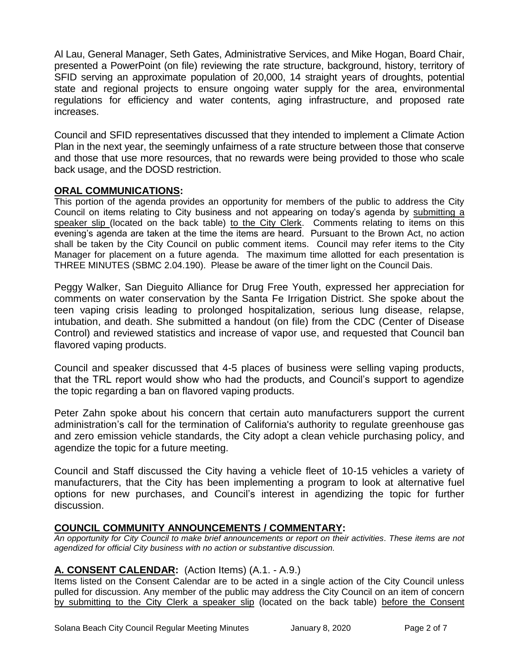Al Lau, General Manager, Seth Gates, Administrative Services, and Mike Hogan, Board Chair, presented a PowerPoint (on file) reviewing the rate structure, background, history, territory of SFID serving an approximate population of 20,000, 14 straight years of droughts, potential state and regional projects to ensure ongoing water supply for the area, environmental regulations for efficiency and water contents, aging infrastructure, and proposed rate increases.

Council and SFID representatives discussed that they intended to implement a Climate Action Plan in the next year, the seemingly unfairness of a rate structure between those that conserve and those that use more resources, that no rewards were being provided to those who scale back usage, and the DOSD restriction.

#### **ORAL COMMUNICATIONS:**

This portion of the agenda provides an opportunity for members of the public to address the City Council on items relating to City business and not appearing on today's agenda by submitting a speaker slip (located on the back table) to the City Clerk. Comments relating to items on this evening's agenda are taken at the time the items are heard. Pursuant to the Brown Act, no action shall be taken by the City Council on public comment items. Council may refer items to the City Manager for placement on a future agenda. The maximum time allotted for each presentation is THREE MINUTES (SBMC 2.04.190). Please be aware of the timer light on the Council Dais.

Peggy Walker, San Dieguito Alliance for Drug Free Youth, expressed her appreciation for comments on water conservation by the Santa Fe Irrigation District. She spoke about the teen vaping crisis leading to prolonged hospitalization, serious lung disease, relapse, intubation, and death. She submitted a handout (on file) from the CDC (Center of Disease Control) and reviewed statistics and increase of vapor use, and requested that Council ban flavored vaping products.

Council and speaker discussed that 4-5 places of business were selling vaping products, that the TRL report would show who had the products, and Council's support to agendize the topic regarding a ban on flavored vaping products.

Peter Zahn spoke about his concern that certain auto manufacturers support the current administration's call for the termination of California's authority to regulate greenhouse gas and zero emission vehicle standards, the City adopt a clean vehicle purchasing policy, and agendize the topic for a future meeting.

Council and Staff discussed the City having a vehicle fleet of 10-15 vehicles a variety of manufacturers, that the City has been implementing a program to look at alternative fuel options for new purchases, and Council's interest in agendizing the topic for further discussion.

#### **COUNCIL COMMUNITY ANNOUNCEMENTS / COMMENTARY:**

*An opportunity for City Council to make brief announcements or report on their activities. These items are not agendized for official City business with no action or substantive discussion.* 

#### **A. CONSENT CALENDAR:** (Action Items) (A.1. - A.9.)

Items listed on the Consent Calendar are to be acted in a single action of the City Council unless pulled for discussion. Any member of the public may address the City Council on an item of concern by submitting to the City Clerk a speaker slip (located on the back table) before the Consent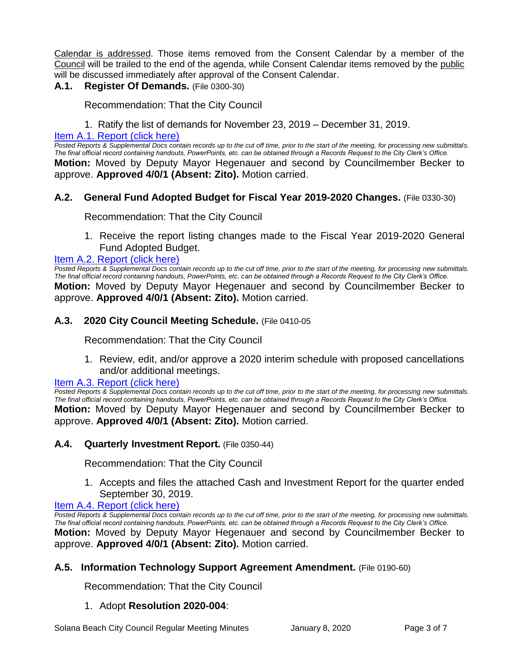Calendar is addressed. Those items removed from the Consent Calendar by a member of the Council will be trailed to the end of the agenda, while Consent Calendar items removed by the public will be discussed immediately after approval of the Consent Calendar.

#### **A.1. Register Of Demands.** (File 0300-30)

Recommendation: That the City Council

1. Ratify the list of demands for November 23, 2019 – December 31, 2019.

#### [Item A.1. Report \(click here\)](https://solanabeach.govoffice3.com/vertical/Sites/%7B840804C2-F869-4904-9AE3-720581350CE7%7D/uploads/Item_A.1._Report_(click_here)_01-08-20_-_O.pdf)

Posted Reports & Supplemental Docs contain records up to the cut off time, prior to the start of the meeting, for processing new submittals. *The final official record containing handouts, PowerPoints, etc. can be obtained through a Records Request to the City Clerk's Office.* **Motion:** Moved by Deputy Mayor Hegenauer and second by Councilmember Becker to approve. **Approved 4/0/1 (Absent: Zito).** Motion carried.

#### **A.2. General Fund Adopted Budget for Fiscal Year 2019-2020 Changes.** (File 0330-30)

Recommendation: That the City Council

1. Receive the report listing changes made to the Fiscal Year 2019-2020 General Fund Adopted Budget.

#### [Item A.2. Report \(click here\)](https://solanabeach.govoffice3.com/vertical/Sites/%7B840804C2-F869-4904-9AE3-720581350CE7%7D/uploads/Item_A.2._Report_(click_here)_01-08-20_-_O.pdf)

*Posted Reports & Supplemental Docs contain records up to the cut off time, prior to the start of the meeting, for processing new submittals. The final official record containing handouts, PowerPoints, etc. can be obtained through a Records Request to the City Clerk's Office.* **Motion:** Moved by Deputy Mayor Hegenauer and second by Councilmember Becker to approve. **Approved 4/0/1 (Absent: Zito).** Motion carried.

#### **A.3. 2020 City Council Meeting Schedule.** (File 0410-05

Recommendation: That the City Council

1. Review, edit, and/or approve a 2020 interim schedule with proposed cancellations and/or additional meetings.

#### **[Item A.3. Report \(click here\)](https://solanabeach.govoffice3.com/vertical/Sites/%7B840804C2-F869-4904-9AE3-720581350CE7%7D/uploads/Item_A.3._Report_(click_here)_01-08-20_-_O.pdf)**

*Posted Reports & Supplemental Docs contain records up to the cut off time, prior to the start of the meeting, for processing new submittals. The final official record containing handouts, PowerPoints, etc. can be obtained through a Records Request to the City Clerk's Office.* **Motion:** Moved by Deputy Mayor Hegenauer and second by Councilmember Becker to

### **A.4. Quarterly Investment Report.** (File 0350-44)

Recommendation: That the City Council

approve. **Approved 4/0/1 (Absent: Zito).** Motion carried.

1. Accepts and files the attached Cash and Investment Report for the quarter ended September 30, 2019.

#### [Item A.4. Report \(click here\)](https://solanabeach.govoffice3.com/vertical/Sites/%7B840804C2-F869-4904-9AE3-720581350CE7%7D/uploads/Item_A.4._Report_(click_here)_01-08-20_-_O.pdf)

*Posted Reports & Supplemental Docs contain records up to the cut off time, prior to the start of the meeting, for processing new submittals. The final official record containing handouts, PowerPoints, etc. can be obtained through a Records Request to the City Clerk's Office.* **Motion:** Moved by Deputy Mayor Hegenauer and second by Councilmember Becker to approve. **Approved 4/0/1 (Absent: Zito).** Motion carried.

#### **A.5. Information Technology Support Agreement Amendment.** (File 0190-60)

Recommendation: That the City Council

#### 1. Adopt **Resolution 2020-004**: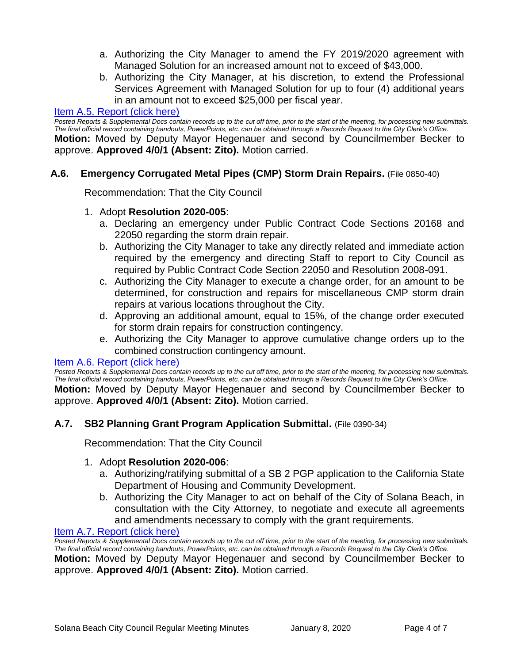- a. Authorizing the City Manager to amend the FY 2019/2020 agreement with Managed Solution for an increased amount not to exceed of \$43,000.
- b. Authorizing the City Manager, at his discretion, to extend the Professional Services Agreement with Managed Solution for up to four (4) additional years in an amount not to exceed \$25,000 per fiscal year.

#### [Item A.5. Report \(click here\)](https://solanabeach.govoffice3.com/vertical/Sites/%7B840804C2-F869-4904-9AE3-720581350CE7%7D/uploads/Item_A.5._Report_(click_here)_01-08-20_-_O.pdf)

*Posted Reports & Supplemental Docs contain records up to the cut off time, prior to the start of the meeting, for processing new submittals. The final official record containing handouts, PowerPoints, etc. can be obtained through a Records Request to the City Clerk's Office.*

**Motion:** Moved by Deputy Mayor Hegenauer and second by Councilmember Becker to approve. **Approved 4/0/1 (Absent: Zito).** Motion carried.

#### **A.6. Emergency Corrugated Metal Pipes (CMP) Storm Drain Repairs.** (File 0850-40)

Recommendation: That the City Council

#### 1. Adopt **Resolution 2020-005**:

- a. Declaring an emergency under Public Contract Code Sections 20168 and 22050 regarding the storm drain repair.
- b. Authorizing the City Manager to take any directly related and immediate action required by the emergency and directing Staff to report to City Council as required by Public Contract Code Section 22050 and Resolution 2008-091.
- c. Authorizing the City Manager to execute a change order, for an amount to be determined, for construction and repairs for miscellaneous CMP storm drain repairs at various locations throughout the City.
- d. Approving an additional amount, equal to 15%, of the change order executed for storm drain repairs for construction contingency.
- e. Authorizing the City Manager to approve cumulative change orders up to the combined construction contingency amount.

#### [Item A.6. Report \(click here\)](https://solanabeach.govoffice3.com/vertical/Sites/%7B840804C2-F869-4904-9AE3-720581350CE7%7D/uploads/Item_A.6._Report_(click_here)_01-08-20_-_O.pdf)

*Posted Reports & Supplemental Docs contain records up to the cut off time, prior to the start of the meeting, for processing new submittals. The final official record containing handouts, PowerPoints, etc. can be obtained through a Records Request to the City Clerk's Office.*

**Motion:** Moved by Deputy Mayor Hegenauer and second by Councilmember Becker to approve. **Approved 4/0/1 (Absent: Zito).** Motion carried.

#### **A.7. SB2 Planning Grant Program Application Submittal.** (File 0390-34)

Recommendation: That the City Council

#### 1. Adopt **Resolution 2020-006**:

- a. Authorizing/ratifying submittal of a SB 2 PGP application to the California State Department of Housing and Community Development.
- b. Authorizing the City Manager to act on behalf of the City of Solana Beach, in consultation with the City Attorney, to negotiate and execute all agreements and amendments necessary to comply with the grant requirements.

[Item A.7. Report \(click here\)](https://solanabeach.govoffice3.com/vertical/Sites/%7B840804C2-F869-4904-9AE3-720581350CE7%7D/uploads/Item_A.7._Report_(click_here)_01-08-20_-_O.pdf)

*Posted Reports & Supplemental Docs contain records up to the cut off time, prior to the start of the meeting, for processing new submittals. The final official record containing handouts, PowerPoints, etc. can be obtained through a Records Request to the City Clerk's Office.*

**Motion:** Moved by Deputy Mayor Hegenauer and second by Councilmember Becker to approve. **Approved 4/0/1 (Absent: Zito).** Motion carried.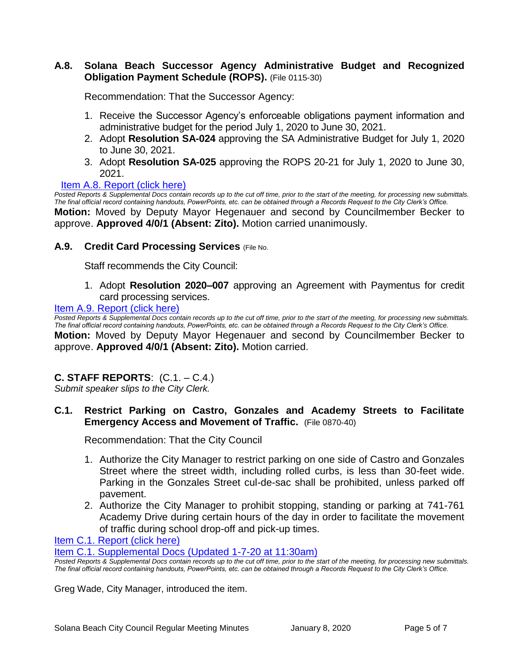#### **A.8. Solana Beach Successor Agency Administrative Budget and Recognized Obligation Payment Schedule (ROPS).** (File 0115-30)

Recommendation: That the Successor Agency:

- 1. Receive the Successor Agency's enforceable obligations payment information and administrative budget for the period July 1, 2020 to June 30, 2021.
- 2. Adopt **Resolution SA-024** approving the SA Administrative Budget for July 1, 2020 to June 30, 2021.
- 3. Adopt **Resolution SA-025** approving the ROPS 20-21 for July 1, 2020 to June 30, 2021.

#### [Item A.8. Report \(click here\)](https://solanabeach.govoffice3.com/vertical/Sites/%7B840804C2-F869-4904-9AE3-720581350CE7%7D/uploads/Item_A.8._Report_(click_here)_01-08-20_-_O.pdf)

*Posted Reports & Supplemental Docs contain records up to the cut off time, prior to the start of the meeting, for processing new submittals. The final official record containing handouts, PowerPoints, etc. can be obtained through a Records Request to the City Clerk's Office.* **Motion:** Moved by Deputy Mayor Hegenauer and second by Councilmember Becker to approve. **Approved 4/0/1 (Absent: Zito).** Motion carried unanimously.

#### **A.9. Credit Card Processing Services** (File No.

Staff recommends the City Council:

1. Adopt **Resolution 2020–007** approving an Agreement with Paymentus for credit card processing services.

#### [Item A.9. Report \(click here\)](https://solanabeach.govoffice3.com/vertical/Sites/%7B840804C2-F869-4904-9AE3-720581350CE7%7D/uploads/Item_A.9._Report_(click_here)_01-08-20_-_O.pdf)

*Posted Reports & Supplemental Docs contain records up to the cut off time, prior to the start of the meeting, for processing new submittals. The final official record containing handouts, PowerPoints, etc. can be obtained through a Records Request to the City Clerk's Office.* **Motion:** Moved by Deputy Mayor Hegenauer and second by Councilmember Becker to approve. **Approved 4/0/1 (Absent: Zito).** Motion carried.

#### **C. STAFF REPORTS**: (C.1. – C.4.)

*Submit speaker slips to the City Clerk.*

#### **C.1. Restrict Parking on Castro, Gonzales and Academy Streets to Facilitate Emergency Access and Movement of Traffic.** (File 0870-40)

Recommendation: That the City Council

- 1. Authorize the City Manager to restrict parking on one side of Castro and Gonzales Street where the street width, including rolled curbs, is less than 30-feet wide. Parking in the Gonzales Street cul-de-sac shall be prohibited, unless parked off pavement.
- 2. Authorize the City Manager to prohibit stopping, standing or parking at 741-761 Academy Drive during certain hours of the day in order to facilitate the movement of traffic during school drop-off and pick-up times.

[Item C.1. Report \(click here\)](https://solanabeach.govoffice3.com/vertical/Sites/%7B840804C2-F869-4904-9AE3-720581350CE7%7D/uploads/Item_C.1._Report_(click_here)_01-08-20_-_O.pdf)

[Item C.1. Supplemental Docs \(Updated 1-7-20 at 11:30am\)](https://solanabeach.govoffice3.com/vertical/Sites/%7B840804C2-F869-4904-9AE3-720581350CE7%7D/uploads/Item_C.1._Supplemental_Docs_(Upd._1-7_at_1115am)_-_O.pdf)

*Posted Reports & Supplemental Docs contain records up to the cut off time, prior to the start of the meeting, for processing new submittals. The final official record containing handouts, PowerPoints, etc. can be obtained through a Records Request to the City Clerk's Office.*

Greg Wade, City Manager, introduced the item.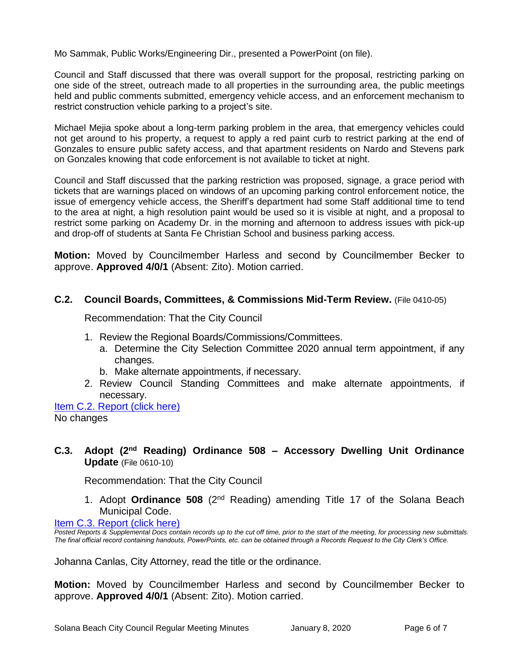Mo Sammak, Public Works/Engineering Dir., presented a PowerPoint (on file).

Council and Staff discussed that there was overall support for the proposal, restricting parking on one side of the street, outreach made to all properties in the surrounding area, the public meetings held and public comments submitted, emergency vehicle access, and an enforcement mechanism to restrict construction vehicle parking to a project's site.

Michael Mejia spoke about a long-term parking problem in the area, that emergency vehicles could not get around to his property, a request to apply a red paint curb to restrict parking at the end of Gonzales to ensure public safety access, and that apartment residents on Nardo and Stevens park on Gonzales knowing that code enforcement is not available to ticket at night.

Council and Staff discussed that the parking restriction was proposed, signage, a grace period with tickets that are warnings placed on windows of an upcoming parking control enforcement notice, the issue of emergency vehicle access, the Sheriff's department had some Staff additional time to tend to the area at night, a high resolution paint would be used so it is visible at night, and a proposal to restrict some parking on Academy Dr. in the morning and afternoon to address issues with pick-up and drop-off of students at Santa Fe Christian School and business parking access.

**Motion:** Moved by Councilmember Harless and second by Councilmember Becker to approve. **Approved 4/0/1** (Absent: Zito). Motion carried.

#### **C.2. Council Boards, Committees, & Commissions Mid-Term Review.** (File 0410-05)

Recommendation: That the City Council

- 1. Review the Regional Boards/Commissions/Committees.
	- a. Determine the City Selection Committee 2020 annual term appointment, if any changes.
	- b. Make alternate appointments, if necessary.
- 2. Review Council Standing Committees and make alternate appointments, if necessary.

Item [C.2. Report \(click here\)](https://solanabeach.govoffice3.com/vertical/Sites/%7B840804C2-F869-4904-9AE3-720581350CE7%7D/uploads/Item_C.2._Report_(click_here)_01-08-20_-_O.pdf) No changes

#### **C.3. Adopt (2nd Reading) Ordinance 508 – Accessory Dwelling Unit Ordinance Update** (File 0610-10)

Recommendation: That the City Council

1. Adopt **Ordinance 508** (2nd Reading) amending Title 17 of the Solana Beach Municipal Code.

#### [Item C.3. Report \(click here\)](https://solanabeach.govoffice3.com/vertical/Sites/%7B840804C2-F869-4904-9AE3-720581350CE7%7D/uploads/Item_C.3._Report_(click_here)_01-08-20_-_O.pdf)

*Posted Reports & Supplemental Docs contain records up to the cut off time, prior to the start of the meeting, for processing new submittals. The final official record containing handouts, PowerPoints, etc. can be obtained through a Records Request to the City Clerk's Office.*

Johanna Canlas, City Attorney, read the title or the ordinance.

**Motion:** Moved by Councilmember Harless and second by Councilmember Becker to approve. **Approved 4/0/1** (Absent: Zito). Motion carried.